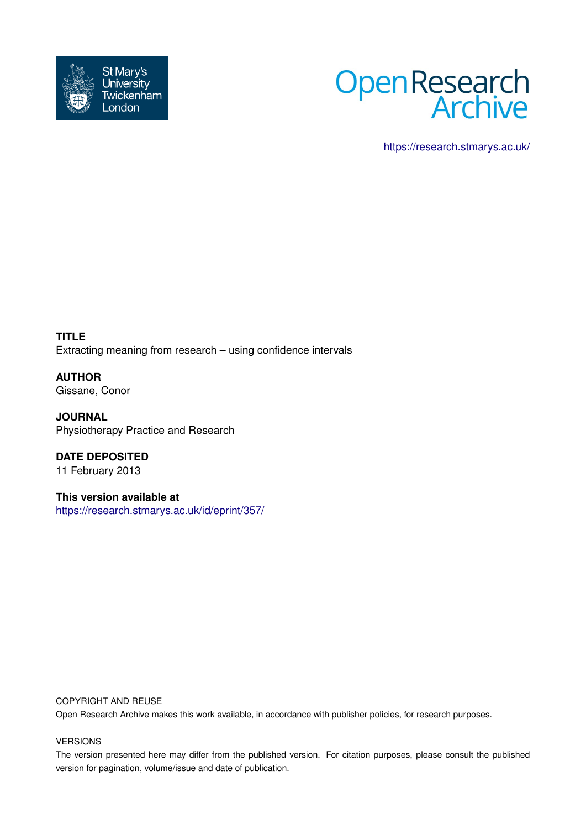



<https://research.stmarys.ac.uk/>

**TITLE** Extracting meaning from research – using confidence intervals

**AUTHOR** Gissane, Conor

**JOURNAL** Physiotherapy Practice and Research

**DATE DEPOSITED** 11 February 2013

**This version available at** <https://research.stmarys.ac.uk/id/eprint/357/>

## COPYRIGHT AND REUSE

Open Research Archive makes this work available, in accordance with publisher policies, for research purposes.

## VERSIONS

The version presented here may differ from the published version. For citation purposes, please consult the published version for pagination, volume/issue and date of publication.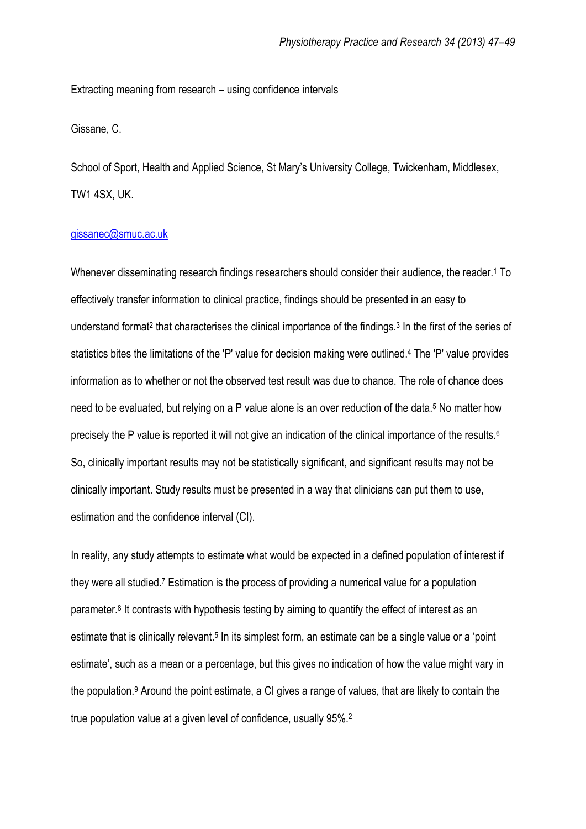Extracting meaning from research – using confidence intervals

Gissane, C.

School of Sport, Health and Applied Science, St Mary's University College, Twickenham, Middlesex, TW1 4SX, UK.

## [gissanec@smuc.ac.uk](mailto:gissanec@smuc.ac.uk)

Whenever disseminating research findings researchers should consider their audience, the reader.<sup>1</sup> To effectively transfer information to clinical practice, findings should be presented in an easy to understand format<sup>2</sup> that characterises the clinical importance of the findings.<sup>3</sup> In the first of the series of statistics bites the limitations of the 'P' value for decision making were outlined.<sup>4</sup> The 'P' value provides information as to whether or not the observed test result was due to chance. The role of chance does need to be evaluated, but relying on a P value alone is an over reduction of the data.<sup>5</sup> No matter how precisely the P value is reported it will not give an indication of the clinical importance of the results.<sup>6</sup> So, clinically important results may not be statistically significant, and significant results may not be clinically important. Study results must be presented in a way that clinicians can put them to use, estimation and the confidence interval (CI).

In reality, any study attempts to estimate what would be expected in a defined population of interest if they were all studied.<sup>7</sup> Estimation is the process of providing a numerical value for a population parameter.<sup>8</sup> It contrasts with hypothesis testing by aiming to quantify the effect of interest as an estimate that is clinically relevant.<sup>5</sup> In its simplest form, an estimate can be a single value or a 'point estimate', such as a mean or a percentage, but this gives no indication of how the value might vary in the population.<sup>9</sup> Around the point estimate, a CI gives a range of values, that are likely to contain the true population value at a given level of confidence, usually 95%.2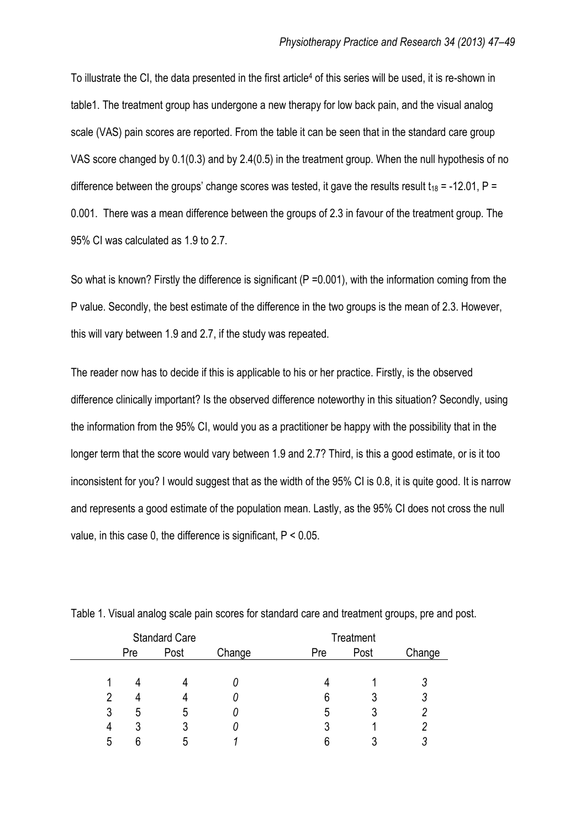To illustrate the CI, the data presented in the first article<sup>4</sup> of this series will be used, it is re-shown in table1. The treatment group has undergone a new therapy for low back pain, and the visual analog scale (VAS) pain scores are reported. From the table it can be seen that in the standard care group VAS score changed by 0.1(0.3) and by 2.4(0.5) in the treatment group. When the null hypothesis of no difference between the groups' change scores was tested, it gave the results result  $t_{18}$  = -12.01, P = 0.001. There was a mean difference between the groups of 2.3 in favour of the treatment group. The 95% CI was calculated as 1.9 to 2.7.

So what is known? Firstly the difference is significant (P =0.001), with the information coming from the P value. Secondly, the best estimate of the difference in the two groups is the mean of 2.3. However, this will vary between 1.9 and 2.7, if the study was repeated.

The reader now has to decide if this is applicable to his or her practice. Firstly, is the observed difference clinically important? Is the observed difference noteworthy in this situation? Secondly, using the information from the 95% CI, would you as a practitioner be happy with the possibility that in the longer term that the score would vary between 1.9 and 2.7? Third, is this a good estimate, or is it too inconsistent for you? I would suggest that as the width of the 95% CI is 0.8, it is quite good. It is narrow and represents a good estimate of the population mean. Lastly, as the 95% CI does not cross the null value, in this case 0, the difference is significant, P < 0.05.

|   | <b>Standard Care</b> |      |        | Treatment |      |        |
|---|----------------------|------|--------|-----------|------|--------|
|   | Pre                  | Post | Change | Pre       | Post | Change |
|   |                      |      |        |           |      |        |
|   |                      |      |        |           |      |        |
|   |                      |      |        | 6         |      |        |
| 3 | ხ                    | b    |        | ა         |      |        |
| 4 |                      |      | υ      | O         |      |        |
| 5 | ิค                   | n    |        | ჩ         |      |        |

Table 1. Visual analog scale pain scores for standard care and treatment groups, pre and post.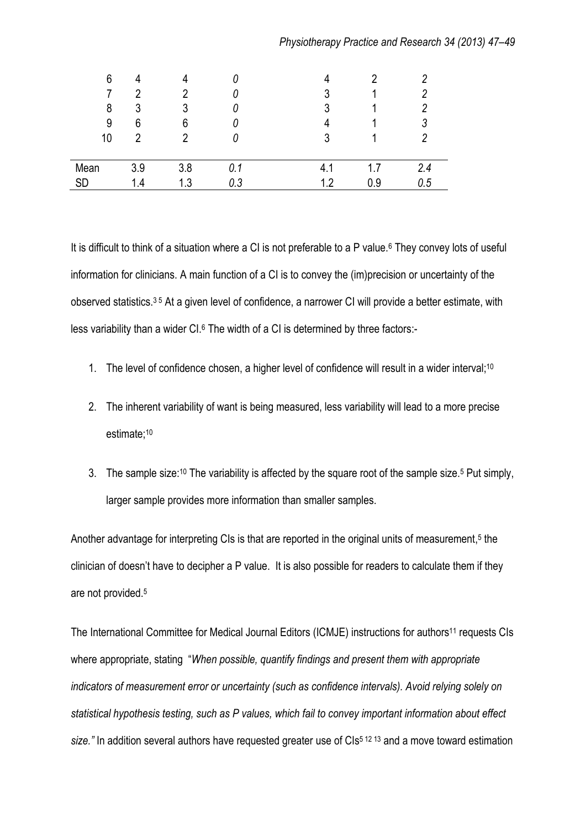|  |  | Physiotherapy Practice and Research 34 (2013) 47-49 |  |  |
|--|--|-----------------------------------------------------|--|--|
|--|--|-----------------------------------------------------|--|--|

| 6<br>8<br>9<br>10 | 4<br>3<br>6<br>っ | 7<br>ঽ<br>6<br>າ |     | 4<br>3<br>ว<br>л<br>ર | n   |     |
|-------------------|------------------|------------------|-----|-----------------------|-----|-----|
| Mean              | 3.9              | 3.8              | 0.1 | 4.1                   | 1.7 | 2.4 |
| SD                | 1.4              | 1.3              | 0.3 | 12                    | 0.9 | 0.5 |

It is difficult to think of a situation where a CI is not preferable to a P value.<sup>6</sup> They convey lots of useful information for clinicians. A main function of a CI is to convey the (im)precision or uncertainty of the observed statistics.3 5 At a given level of confidence, a narrower CI will provide a better estimate, with less variability than a wider CI.<sup>6</sup> The width of a CI is determined by three factors:-

- 1. The level of confidence chosen, a higher level of confidence will result in a wider interval;<sup>10</sup>
- 2. The inherent variability of want is being measured, less variability will lead to a more precise estimate;<sup>10</sup>
- 3. The sample size:<sup>10</sup> The variability is affected by the square root of the sample size.<sup>5</sup> Put simply, larger sample provides more information than smaller samples.

Another advantage for interpreting CIs is that are reported in the original units of measurement,<sup>5</sup> the clinician of doesn't have to decipher a P value. It is also possible for readers to calculate them if they are not provided.<sup>5</sup>

The International Committee for Medical Journal Editors (ICMJE) instructions for authors<sup>11</sup> requests CIs where appropriate, stating "*When possible, quantify findings and present them with appropriate indicators of measurement error or uncertainty (such as confidence intervals). Avoid relying solely on statistical hypothesis testing, such as P values, which fail to convey important information about effect*  size.<sup>*"*</sup> In addition several authors have requested greater use of CIs<sup>5 12 13</sup> and a move toward estimation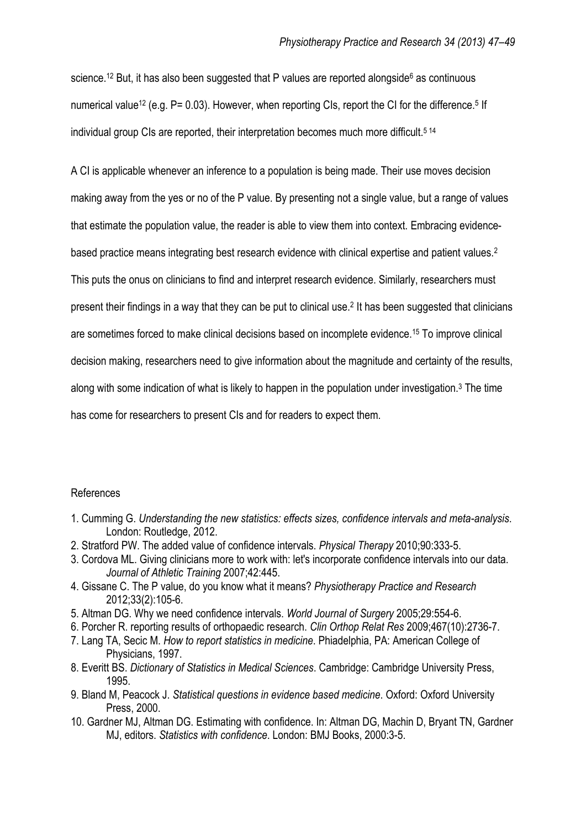science.<sup>12</sup> But, it has also been suggested that P values are reported alongside<sup>6</sup> as continuous numerical value<sup>12</sup> (e.g. P= 0.03). However, when reporting CIs, report the CI for the difference.<sup>5</sup> If individual group CIs are reported, their interpretation becomes much more difficult.<sup>514</sup>

A CI is applicable whenever an inference to a population is being made. Their use moves decision

making away from the yes or no of the P value. By presenting not a single value, but a range of values that estimate the population value, the reader is able to view them into context. Embracing evidencebased practice means integrating best research evidence with clinical expertise and patient values.<sup>2</sup> This puts the onus on clinicians to find and interpret research evidence. Similarly, researchers must present their findings in a way that they can be put to clinical use.<sup>2</sup> It has been suggested that clinicians are sometimes forced to make clinical decisions based on incomplete evidence.<sup>15</sup> To improve clinical decision making, researchers need to give information about the magnitude and certainty of the results,

along with some indication of what is likely to happen in the population under investigation.<sup>3</sup> The time

has come for researchers to present CIs and for readers to expect them.

## References

- 1. Cumming G. *Understanding the new statistics: effects sizes, confidence intervals and meta-analysis*. London: Routledge, 2012.
- 2. Stratford PW. The added value of confidence intervals. *Physical Therapy* 2010;90:333-5.
- 3. Cordova ML. Giving clinicians more to work with: let's incorporate confidence intervals into our data. *Journal of Athletic Training* 2007;42:445.
- 4. Gissane C. The P value, do you know what it means? *Physiotherapy Practice and Research* 2012;33(2):105-6.
- 5. Altman DG. Why we need confidence intervals. *World Journal of Surgery* 2005;29:554-6.
- 6. Porcher R. reporting results of orthopaedic research. *Clin Orthop Relat Res* 2009;467(10):2736-7.
- 7. Lang TA, Secic M. *How to report statistics in medicine*. Phiadelphia, PA: American College of Physicians, 1997.
- 8. Everitt BS. *Dictionary of Statistics in Medical Sciences*. Cambridge: Cambridge University Press, 1995.
- 9. Bland M, Peacock J. *Statistical questions in evidence based medicine*. Oxford: Oxford University Press, 2000.
- 10. Gardner MJ, Altman DG. Estimating with confidence. In: Altman DG, Machin D, Bryant TN, Gardner MJ, editors. *Statistics with confidence*. London: BMJ Books, 2000:3-5.